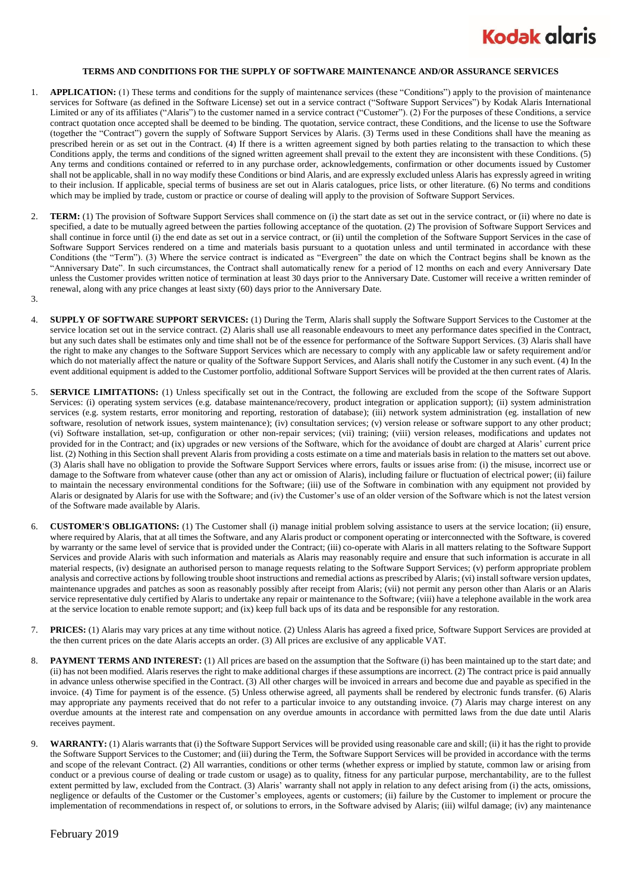

## **TERMS AND CONDITIONS FOR THE SUPPLY OF SOFTWARE MAINTENANCE AND/OR ASSURANCE SERVICES**

- 1. **APPLICATION:** (1) These terms and conditions for the supply of maintenance services (these "Conditions") apply to the provision of maintenance services for Software (as defined in the Software License) set out in a service contract ("Software Support Services") by Kodak Alaris International Limited or any of its affiliates ("Alaris") to the customer named in a service contract ("Customer"). (2) For the purposes of these Conditions, a service contract quotation once accepted shall be deemed to be binding. The quotation, service contract, these Conditions, and the license to use the Software (together the "Contract") govern the supply of Software Support Services by Alaris. (3) Terms used in these Conditions shall have the meaning as prescribed herein or as set out in the Contract. (4) If there is a written agreement signed by both parties relating to the transaction to which these Conditions apply, the terms and conditions of the signed written agreement shall prevail to the extent they are inconsistent with these Conditions. (5) Any terms and conditions contained or referred to in any purchase order, acknowledgements, confirmation or other documents issued by Customer shall not be applicable, shall in no way modify these Conditions or bind Alaris, and are expressly excluded unless Alaris has expressly agreed in writing to their inclusion. If applicable, special terms of business are set out in Alaris catalogues, price lists, or other literature. (6) No terms and conditions which may be implied by trade, custom or practice or course of dealing will apply to the provision of Software Support Services.
- 2. **TERM:** (1) The provision of Software Support Services shall commence on (i) the start date as set out in the service contract, or (ii) where no date is specified, a date to be mutually agreed between the parties following acceptance of the quotation. (2) The provision of Software Support Services and shall continue in force until (i) the end date as set out in a service contract, or (ii) until the completion of the Software Support Services in the case of Software Support Services rendered on a time and materials basis pursuant to a quotation unless and until terminated in accordance with these Conditions (the "Term"). (3) Where the service contract is indicated as "Evergreen" the date on which the Contract begins shall be known as the "Anniversary Date". In such circumstances, the Contract shall automatically renew for a period of 12 months on each and every Anniversary Date unless the Customer provides written notice of termination at least 30 days prior to the Anniversary Date. Customer will receive a written reminder of renewal, along with any price changes at least sixty (60) days prior to the Anniversary Date.
- 3.
- 4. **SUPPLY OF SOFTWARE SUPPORT SERVICES:** (1) During the Term, Alaris shall supply the Software Support Services to the Customer at the service location set out in the service contract. (2) Alaris shall use all reasonable endeavours to meet any performance dates specified in the Contract, but any such dates shall be estimates only and time shall not be of the essence for performance of the Software Support Services. (3) Alaris shall have the right to make any changes to the Software Support Services which are necessary to comply with any applicable law or safety requirement and/or which do not materially affect the nature or quality of the Software Support Services, and Alaris shall notify the Customer in any such event. (4) In the event additional equipment is added to the Customer portfolio, additional Software Support Services will be provided at the then current rates of Alaris.
- 5. **SERVICE LIMITATIONS:** (1) Unless specifically set out in the Contract, the following are excluded from the scope of the Software Support Services: (i) operating system services (e.g. database maintenance/recovery, product integration or application support); (ii) system administration services (e.g. system restarts, error monitoring and reporting, restoration of database); (iii) network system administration (eg. installation of new software, resolution of network issues, system maintenance); (iv) consultation services; (v) version release or software support to any other product; (vi) Software installation, set-up, configuration or other non-repair services; (vii) training; (viii) version releases, modifications and updates not provided for in the Contract; and (ix) upgrades or new versions of the Software, which for the avoidance of doubt are charged at Alaris' current price list. (2) Nothing in this Section shall prevent Alaris from providing a costs estimate on a time and materials basis in relation to the matters set out above. (3) Alaris shall have no obligation to provide the Software Support Services where errors, faults or issues arise from: (i) the misuse, incorrect use or damage to the Software from whatever cause (other than any act or omission of Alaris), including failure or fluctuation of electrical power; (ii) failure to maintain the necessary environmental conditions for the Software; (iii) use of the Software in combination with any equipment not provided by Alaris or designated by Alaris for use with the Software; and (iv) the Customer's use of an older version of the Software which is not the latest version of the Software made available by Alaris.
- 6. **CUSTOMER'S OBLIGATIONS:** (1) The Customer shall (i) manage initial problem solving assistance to users at the service location; (ii) ensure, where required by Alaris, that at all times the Software, and any Alaris product or component operating or interconnected with the Software, is covered by warranty or the same level of service that is provided under the Contract; (iii) co-operate with Alaris in all matters relating to the Software Support Services and provide Alaris with such information and materials as Alaris may reasonably require and ensure that such information is accurate in all material respects, (iv) designate an authorised person to manage requests relating to the Software Support Services; (v) perform appropriate problem analysis and corrective actions by following trouble shoot instructions and remedial actions as prescribed by Alaris; (vi) install software version updates, maintenance upgrades and patches as soon as reasonably possibly after receipt from Alaris; (vii) not permit any person other than Alaris or an Alaris service representative duly certified by Alaris to undertake any repair or maintenance to the Software; (viii) have a telephone available in the work area at the service location to enable remote support; and (ix) keep full back ups of its data and be responsible for any restoration.
- 7. **PRICES:** (1) Alaris may vary prices at any time without notice. (2) Unless Alaris has agreed a fixed price, Software Support Services are provided at the then current prices on the date Alaris accepts an order. (3) All prices are exclusive of any applicable VAT.
- 8. **PAYMENT TERMS AND INTEREST:** (1) All prices are based on the assumption that the Software (i) has been maintained up to the start date; and (ii) has not been modified. Alaris reserves the right to make additional charges if these assumptions are incorrect. (2) The contract price is paid annually in advance unless otherwise specified in the Contract. (3) All other charges will be invoiced in arrears and become due and payable as specified in the invoice. (4) Time for payment is of the essence. (5) Unless otherwise agreed, all payments shall be rendered by electronic funds transfer. (6) Alaris may appropriate any payments received that do not refer to a particular invoice to any outstanding invoice. (7) Alaris may charge interest on any overdue amounts at the interest rate and compensation on any overdue amounts in accordance with permitted laws from the due date until Alaris receives payment.
- 9. **WARRANTY:** (1) Alaris warrants that (i) the Software Support Services will be provided using reasonable care and skill; (ii) it has the right to provide the Software Support Services to the Customer; and (iii) during the Term, the Software Support Services will be provided in accordance with the terms and scope of the relevant Contract. (2) All warranties, conditions or other terms (whether express or implied by statute, common law or arising from conduct or a previous course of dealing or trade custom or usage) as to quality, fitness for any particular purpose, merchantability, are to the fullest extent permitted by law, excluded from the Contract. (3) Alaris' warranty shall not apply in relation to any defect arising from (i) the acts, omissions, negligence or defaults of the Customer or the Customer's employees, agents or customers; (ii) failure by the Customer to implement or procure the implementation of recommendations in respect of, or solutions to errors, in the Software advised by Alaris; (iii) wilful damage; (iv) any maintenance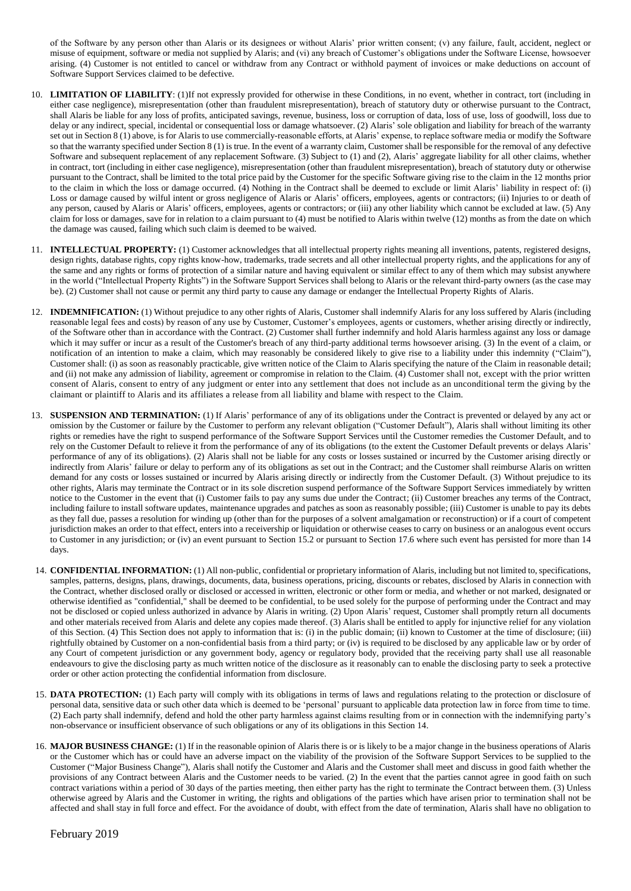of the Software by any person other than Alaris or its designees or without Alaris' prior written consent; (v) any failure, fault, accident, neglect or misuse of equipment, software or media not supplied by Alaris; and (vi) any breach of Customer's obligations under the Software License, howsoever arising. (4) Customer is not entitled to cancel or withdraw from any Contract or withhold payment of invoices or make deductions on account of Software Support Services claimed to be defective.

- 10. **LIMITATION OF LIABILITY**: (1)If not expressly provided for otherwise in these Conditions, in no event, whether in contract, tort (including in either case negligence), misrepresentation (other than fraudulent misrepresentation), breach of statutory duty or otherwise pursuant to the Contract, shall Alaris be liable for any loss of profits, anticipated savings, revenue, business, loss or corruption of data, loss of use, loss of goodwill, loss due to delay or any indirect, special, incidental or consequential loss or damage whatsoever. (2) Alaris' sole obligation and liability for breach of the warranty set out in Section 8 (1) above, is for Alaris to use commercially-reasonable efforts, at Alaris' expense, to replace software media or modify the Software so that the warranty specified under Section 8 (1) is true. In the event of a warranty claim, Customer shall be responsible for the removal of any defective Software and subsequent replacement of any replacement Software. (3) Subject to (1) and (2), Alaris' aggregate liability for all other claims, whether in contract, tort (including in either case negligence), misrepresentation (other than fraudulent misrepresentation), breach of statutory duty or otherwise pursuant to the Contract, shall be limited to the total price paid by the Customer for the specific Software giving rise to the claim in the 12 months prior to the claim in which the loss or damage occurred. (4) Nothing in the Contract shall be deemed to exclude or limit Alaris' liability in respect of: (i) Loss or damage caused by wilful intent or gross negligence of Alaris or Alaris' officers, employees, agents or contractors; (ii) Injuries to or death of any person, caused by Alaris or Alaris' officers, employees, agents or contractors; or (iii) any other liability which cannot be excluded at law. (5) Any claim for loss or damages, save for in relation to a claim pursuant to (4) must be notified to Alaris within twelve (12) months as from the date on which the damage was caused, failing which such claim is deemed to be waived.
- 11. **INTELLECTUAL PROPERTY:** (1) Customer acknowledges that all intellectual property rights meaning all inventions, patents, registered designs, design rights, database rights, copy rights know-how, trademarks, trade secrets and all other intellectual property rights, and the applications for any of the same and any rights or forms of protection of a similar nature and having equivalent or similar effect to any of them which may subsist anywhere in the world ("Intellectual Property Rights") in the Software Support Services shall belong to Alaris or the relevant third-party owners (as the case may be). (2) Customer shall not cause or permit any third party to cause any damage or endanger the Intellectual Property Rights of Alaris.
- 12. **INDEMNIFICATION:** (1) Without prejudice to any other rights of Alaris, Customer shall indemnify Alaris for any loss suffered by Alaris (including reasonable legal fees and costs) by reason of any use by Customer, Customer's employees, agents or customers, whether arising directly or indirectly, of the Software other than in accordance with the Contract. (2) Customer shall further indemnify and hold Alaris harmless against any loss or damage which it may suffer or incur as a result of the Customer's breach of any third-party additional terms howsoever arising. (3) In the event of a claim, or notification of an intention to make a claim, which may reasonably be considered likely to give rise to a liability under this indemnity ("Claim"), Customer shall: (i) as soon as reasonably practicable, give written notice of the Claim to Alaris specifying the nature of the Claim in reasonable detail; and (ii) not make any admission of liability, agreement or compromise in relation to the Claim. (4) Customer shall not, except with the prior written consent of Alaris, consent to entry of any judgment or enter into any settlement that does not include as an unconditional term the giving by the claimant or plaintiff to Alaris and its affiliates a release from all liability and blame with respect to the Claim.
- 13. **SUSPENSION AND TERMINATION:** (1) If Alaris' performance of any of its obligations under the Contract is prevented or delayed by any act or omission by the Customer or failure by the Customer to perform any relevant obligation ("Customer Default"), Alaris shall without limiting its other rights or remedies have the right to suspend performance of the Software Support Services until the Customer remedies the Customer Default, and to rely on the Customer Default to relieve it from the performance of any of its obligations (to the extent the Customer Default prevents or delays Alaris' performance of any of its obligations). (2) Alaris shall not be liable for any costs or losses sustained or incurred by the Customer arising directly or indirectly from Alaris' failure or delay to perform any of its obligations as set out in the Contract; and the Customer shall reimburse Alaris on written demand for any costs or losses sustained or incurred by Alaris arising directly or indirectly from the Customer Default. (3) Without prejudice to its other rights, Alaris may terminate the Contract or in its sole discretion suspend performance of the Software Support Services immediately by written notice to the Customer in the event that (i) Customer fails to pay any sums due under the Contract; (ii) Customer breaches any terms of the Contract, including failure to install software updates, maintenance upgrades and patches as soon as reasonably possible; (iii) Customer is unable to pay its debts as they fall due, passes a resolution for winding up (other than for the purposes of a solvent amalgamation or reconstruction) or if a court of competent jurisdiction makes an order to that effect, enters into a receivership or liquidation or otherwise ceases to carry on business or an analogous event occurs to Customer in any jurisdiction; or (iv) an event pursuant to Section 15.2 or pursuant to Section 17.6 where such event has persisted for more than 14 days.
- 14. **CONFIDENTIAL INFORMATION:** (1) All non-public, confidential or proprietary information of Alaris, including but not limited to, specifications, samples, patterns, designs, plans, drawings, documents, data, business operations, pricing, discounts or rebates, disclosed by Alaris in connection with the Contract, whether disclosed orally or disclosed or accessed in written, electronic or other form or media, and whether or not marked, designated or otherwise identified as "confidential," shall be deemed to be confidential, to be used solely for the purpose of performing under the Contract and may not be disclosed or copied unless authorized in advance by Alaris in writing. (2) Upon Alaris' request, Customer shall promptly return all documents and other materials received from Alaris and delete any copies made thereof. (3) Alaris shall be entitled to apply for injunctive relief for any violation of this Section. (4) This Section does not apply to information that is: (i) in the public domain; (ii) known to Customer at the time of disclosure; (iii) rightfully obtained by Customer on a non-confidential basis from a third party; or (iv) is required to be disclosed by any applicable law or by order of any Court of competent jurisdiction or any government body, agency or regulatory body, provided that the receiving party shall use all reasonable endeavours to give the disclosing party as much written notice of the disclosure as it reasonably can to enable the disclosing party to seek a protective order or other action protecting the confidential information from disclosure.
- 15. DATA PROTECTION: (1) Each party will comply with its obligations in terms of laws and regulations relating to the protection or disclosure of personal data, sensitive data or such other data which is deemed to be 'personal' pursuant to applicable data protection law in force from time to time. (2) Each party shall indemnify, defend and hold the other party harmless against claims resulting from or in connection with the indemnifying party's non-observance or insufficient observance of such obligations or any of its obligations in this Section 14.
- 16. **MAJOR BUSINESS CHANGE:** (1) If in the reasonable opinion of Alaris there is or is likely to be a major change in the business operations of Alaris or the Customer which has or could have an adverse impact on the viability of the provision of the Software Support Services to be supplied to the Customer ("Major Business Change"), Alaris shall notify the Customer and Alaris and the Customer shall meet and discuss in good faith whether the provisions of any Contract between Alaris and the Customer needs to be varied. (2) In the event that the parties cannot agree in good faith on such contract variations within a period of 30 days of the parties meeting, then either party has the right to terminate the Contract between them. (3) Unless otherwise agreed by Alaris and the Customer in writing, the rights and obligations of the parties which have arisen prior to termination shall not be affected and shall stay in full force and effect. For the avoidance of doubt, with effect from the date of termination, Alaris shall have no obligation to